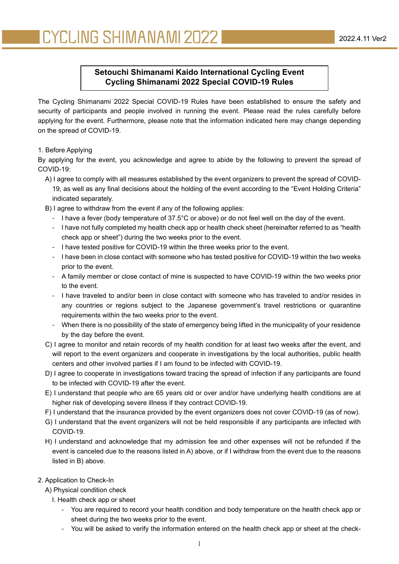# **Setouchi Shimanami Kaido International Cycling Event Cycling Shimanami 2022 Special COVID-19 Rules**

The Cycling Shimanami 2022 Special COVID-19 Rules have been established to ensure the safety and security of participants and people involved in running the event. Please read the rules carefully before applying for the event. Furthermore, please note that the information indicated here may change depending on the spread of COVID-19.

# 1. Before Applying

By applying for the event, you acknowledge and agree to abide by the following to prevent the spread of COVID-19:

- A) I agree to comply with all measures established by the event organizers to prevent the spread of COVID-19, as well as any final decisions about the holding of the event according to the "Event Holding Criteria" indicated separately.
- B) I agree to withdraw from the event if any of the following applies:
	- I have a fever (body temperature of 37.5°C or above) or do not feel well on the day of the event.
	- I have not fully completed my health check app or health check sheet (hereinafter referred to as "health check app or sheet") during the two weeks prior to the event.
	- I have tested positive for COVID-19 within the three weeks prior to the event.
	- I have been in close contact with someone who has tested positive for COVID-19 within the two weeks prior to the event.
	- A family member or close contact of mine is suspected to have COVID-19 within the two weeks prior to the event.
	- I have traveled to and/or been in close contact with someone who has traveled to and/or resides in any countries or regions subject to the Japanese government's travel restrictions or quarantine requirements within the two weeks prior to the event.
	- When there is no possibility of the state of emergency being lifted in the municipality of your residence by the day before the event.
- C) I agree to monitor and retain records of my health condition for at least two weeks after the event, and will report to the event organizers and cooperate in investigations by the local authorities, public health centers and other involved parties if I am found to be infected with COVID-19.
- D) I agree to cooperate in investigations toward tracing the spread of infection if any participants are found to be infected with COVID-19 after the event.
- E) I understand that people who are 65 years old or over and/or have underlying health conditions are at higher risk of developing severe illness if they contract COVID-19.
- F) I understand that the insurance provided by the event organizers does not cover COVID-19 (as of now).
- G) I understand that the event organizers will not be held responsible if any participants are infected with COVID-19.
- H) I understand and acknowledge that my admission fee and other expenses will not be refunded if the event is canceled due to the reasons listed in A) above, or if I withdraw from the event due to the reasons listed in B) above.
- 2. Application to Check-In
	- A) Physical condition check
		- I. Health check app or sheet
			- You are required to record your health condition and body temperature on the health check app or sheet during the two weeks prior to the event.
			- You will be asked to verify the information entered on the health check app or sheet at the check-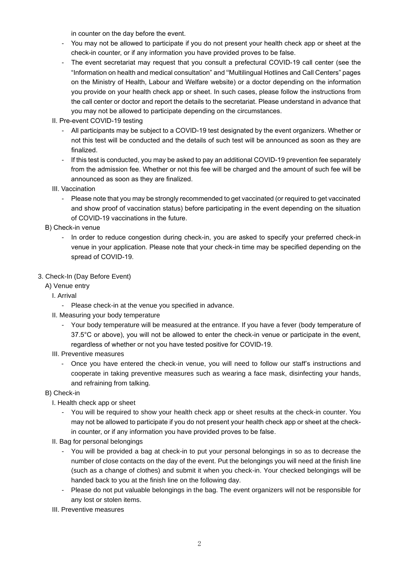in counter on the day before the event.

- You may not be allowed to participate if you do not present your health check app or sheet at the check-in counter, or if any information you have provided proves to be false.
- The event secretariat may request that you consult a prefectural COVID-19 call center (see the "Information on health and medical consultation" and "Multilingual Hotlines and Call Centers" pages on the Ministry of Health, Labour and Welfare website) or a doctor depending on the information you provide on your health check app or sheet. In such cases, please follow the instructions from the call center or doctor and report the details to the secretariat. Please understand in advance that you may not be allowed to participate depending on the circumstances.
- II. Pre-event COVID-19 testing
	- All participants may be subject to a COVID-19 test designated by the event organizers. Whether or not this test will be conducted and the details of such test will be announced as soon as they are finalized.
	- If this test is conducted, you may be asked to pay an additional COVID-19 prevention fee separately from the admission fee. Whether or not this fee will be charged and the amount of such fee will be announced as soon as they are finalized.
- III. Vaccination
	- Please note that you may be strongly recommended to get vaccinated (or required to get vaccinated and show proof of vaccination status) before participating in the event depending on the situation of COVID-19 vaccinations in the future.
- B) Check-in venue
	- In order to reduce congestion during check-in, you are asked to specify your preferred check-in venue in your application. Please note that your check-in time may be specified depending on the spread of COVID-19.
- 3. Check-In (Day Before Event)
	- A) Venue entry
		- I. Arrival
			- Please check-in at the venue you specified in advance.
		- II. Measuring your body temperature
			- Your body temperature will be measured at the entrance. If you have a fever (body temperature of 37.5°C or above), you will not be allowed to enter the check-in venue or participate in the event, regardless of whether or not you have tested positive for COVID-19.
		- III. Preventive measures
			- Once you have entered the check-in venue, you will need to follow our staff's instructions and cooperate in taking preventive measures such as wearing a face mask, disinfecting your hands, and refraining from talking.
	- B) Check-in
		- I. Health check app or sheet
			- You will be required to show your health check app or sheet results at the check-in counter. You may not be allowed to participate if you do not present your health check app or sheet at the checkin counter, or if any information you have provided proves to be false.
		- II. Bag for personal belongings
			- You will be provided a bag at check-in to put your personal belongings in so as to decrease the number of close contacts on the day of the event. Put the belongings you will need at the finish line (such as a change of clothes) and submit it when you check-in. Your checked belongings will be handed back to you at the finish line on the following day.
			- Please do not put valuable belongings in the bag. The event organizers will not be responsible for any lost or stolen items.
		- III. Preventive measures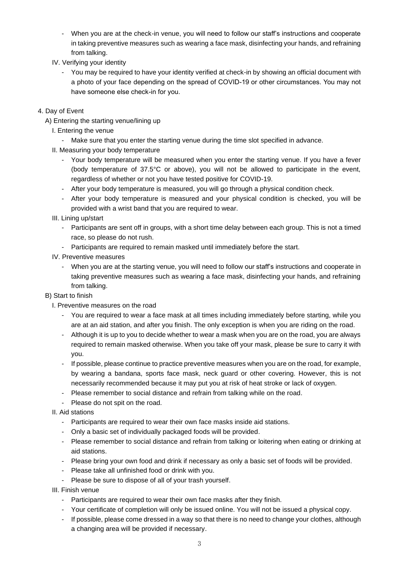- When you are at the check-in venue, you will need to follow our staff's instructions and cooperate in taking preventive measures such as wearing a face mask, disinfecting your hands, and refraining from talking.
- IV. Verifying your identity
	- You may be required to have your identity verified at check-in by showing an official document with a photo of your face depending on the spread of COVID-19 or other circumstances. You may not have someone else check-in for you.
- 4. Day of Event
	- A) Entering the starting venue/lining up
		- I. Entering the venue
			- Make sure that you enter the starting venue during the time slot specified in advance.
		- II. Measuring your body temperature
			- Your body temperature will be measured when you enter the starting venue. If you have a fever (body temperature of 37.5°C or above), you will not be allowed to participate in the event, regardless of whether or not you have tested positive for COVID-19.
			- After your body temperature is measured, you will go through a physical condition check.
			- After your body temperature is measured and your physical condition is checked, you will be provided with a wrist band that you are required to wear.
		- III. Lining up/start
			- Participants are sent off in groups, with a short time delay between each group. This is not a timed race, so please do not rush.
			- Participants are required to remain masked until immediately before the start.
		- IV. Preventive measures
			- When you are at the starting venue, you will need to follow our staff's instructions and cooperate in taking preventive measures such as wearing a face mask, disinfecting your hands, and refraining from talking.

### B) Start to finish

- I. Preventive measures on the road
	- You are required to wear a face mask at all times including immediately before starting, while you are at an aid station, and after you finish. The only exception is when you are riding on the road.
	- Although it is up to you to decide whether to wear a mask when you are on the road, you are always required to remain masked otherwise. When you take off your mask, please be sure to carry it with you.
	- If possible, please continue to practice preventive measures when you are on the road, for example, by wearing a bandana, sports face mask, neck guard or other covering. However, this is not necessarily recommended because it may put you at risk of heat stroke or lack of oxygen.
	- Please remember to social distance and refrain from talking while on the road.
	- Please do not spit on the road.
- II. Aid stations
	- Participants are required to wear their own face masks inside aid stations.
	- Only a basic set of individually packaged foods will be provided.
	- Please remember to social distance and refrain from talking or loitering when eating or drinking at aid stations.
	- Please bring your own food and drink if necessary as only a basic set of foods will be provided.
	- Please take all unfinished food or drink with you.
	- Please be sure to dispose of all of your trash yourself.

III. Finish venue

- Participants are required to wear their own face masks after they finish.
- Your certificate of completion will only be issued online. You will not be issued a physical copy.
- If possible, please come dressed in a way so that there is no need to change your clothes, although a changing area will be provided if necessary.